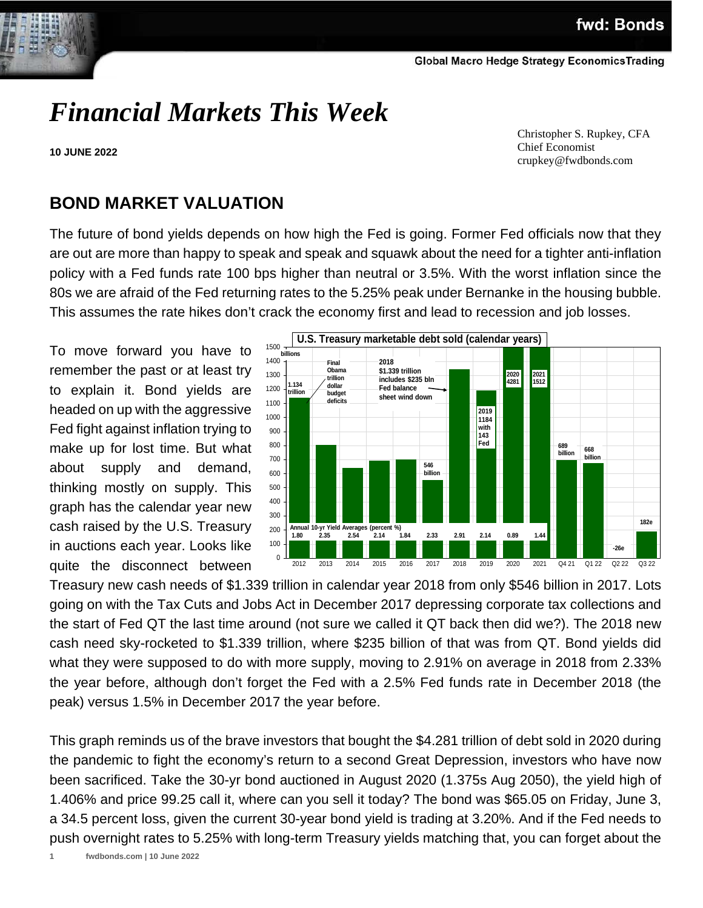

# *Financial Markets This Week*

**10 JUNE 2022**

 Christopher S. Rupkey, CFA Chief Economist crupkey@fwdbonds.com

## **BOND MARKET VALUATION**

The future of bond yields depends on how high the Fed is going. Former Fed officials now that they are out are more than happy to speak and speak and squawk about the need for a tighter anti-inflation policy with a Fed funds rate 100 bps higher than neutral or 3.5%. With the worst inflation since the 80s we are afraid of the Fed returning rates to the 5.25% peak under Bernanke in the housing bubble. This assumes the rate hikes don't crack the economy first and lead to recession and job losses.

To move forward you have to remember the past or at least try to explain it. Bond yields are headed on up with the aggressive Fed fight against inflation trying to make up for lost time. But what about supply and demand, thinking mostly on supply. This graph has the calendar year new cash raised by the U.S. Treasury in auctions each year. Looks like quite the disconnect between



Treasury new cash needs of \$1.339 trillion in calendar year 2018 from only \$546 billion in 2017. Lots going on with the Tax Cuts and Jobs Act in December 2017 depressing corporate tax collections and the start of Fed QT the last time around (not sure we called it QT back then did we?). The 2018 new cash need sky-rocketed to \$1.339 trillion, where \$235 billion of that was from QT. Bond yields did what they were supposed to do with more supply, moving to 2.91% on average in 2018 from 2.33% the year before, although don't forget the Fed with a 2.5% Fed funds rate in December 2018 (the peak) versus 1.5% in December 2017 the year before.

This graph reminds us of the brave investors that bought the \$4.281 trillion of debt sold in 2020 during the pandemic to fight the economy's return to a second Great Depression, investors who have now been sacrificed. Take the 30-yr bond auctioned in August 2020 (1.375s Aug 2050), the yield high of 1.406% and price 99.25 call it, where can you sell it today? The bond was \$65.05 on Friday, June 3, a 34.5 percent loss, given the current 30-year bond yield is trading at 3.20%. And if the Fed needs to push overnight rates to 5.25% with long-term Treasury yields matching that, you can forget about the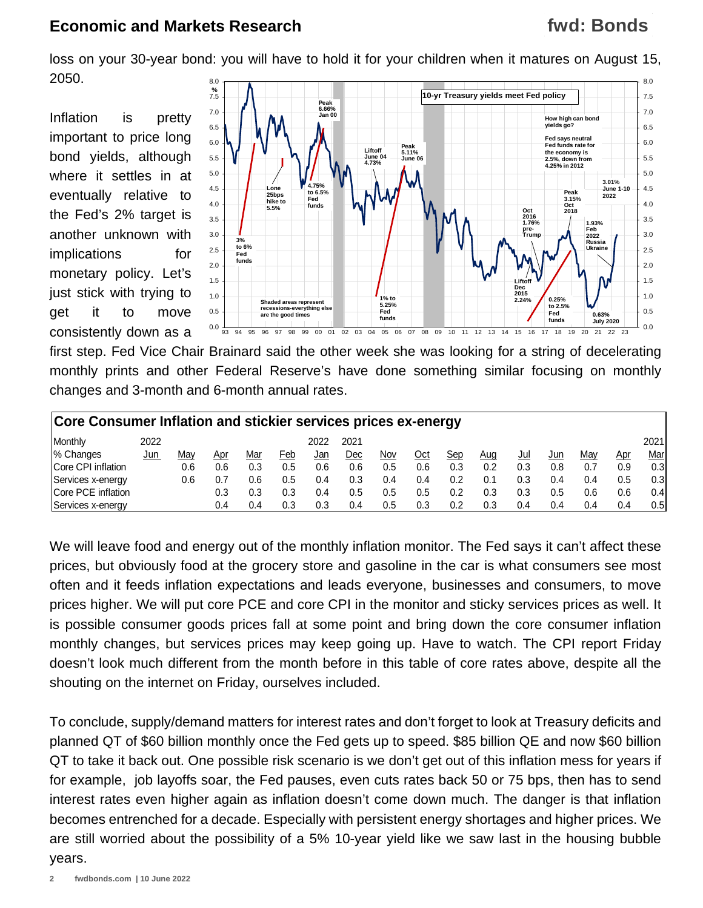## **fwd: Bonds**

loss on your 30-year bond: you will have to hold it for your children when it matures on August 15, 2050. 8.0 8.0

Inflation is pretty important to price long bond yields, although where it settles in at eventually relative to the Fed's 2% target is another unknown with implications for monetary policy. Let's just stick with trying to get it to move consistently down as a



first step. Fed Vice Chair Brainard said the other week she was looking for a string of decelerating monthly prints and other Federal Reserve's have done something similar focusing on monthly changes and 3-month and 6-month annual rates.

| Core Consumer Inflation and stickier services prices ex-energy |            |     |     |     |     |      |      |     |            |     |     |     |     |     |            |                  |
|----------------------------------------------------------------|------------|-----|-----|-----|-----|------|------|-----|------------|-----|-----|-----|-----|-----|------------|------------------|
| Monthly                                                        | 2022       |     |     |     |     | 2022 | 2021 |     |            |     |     |     |     |     |            | 2021             |
| 1% Changes                                                     | <u>Jun</u> | Mav | Apr | Mar | Feb | Jan  | Dec  | Nov | <u>Oct</u> | Sep | Aug | Jul | Jun | Mav | <u>Apr</u> | <u>Mar</u>       |
| Core CPI inflation                                             |            | 0.6 | 0.6 | 0.3 | 0.5 | 0.6  | 0.6  | 0.5 | 0.6        | 0.3 | 0.2 | 0.3 | 0.8 |     | 0.9        | 0.3 <sub>1</sub> |
| Services x-energy                                              |            | 0.6 |     | 0.6 | 0.5 | 0.4  | 0.3  | 0.4 | 0.4        | 0.2 |     | 0.3 | 0.4 | 0.4 | 0.5        | 0.3 <sub>1</sub> |
| <b>Core PCE inflation</b>                                      |            |     | 0.3 | 0.3 | 0.3 | 0.4  | 0.5  | 0.5 | 0.5        | 0.2 | 0.3 | 0.3 | 0.5 | 0.6 | 0.6        | 0.41             |
| Services x-energy                                              |            |     | 0.4 | 0.4 | 0.3 | 0.3  | 0.4  | 0.5 | 0.3        | 0.2 | 0.3 | 0.4 | 0.4 | 0.4 | 0.4        | 0.5 <sub>1</sub> |

We will leave food and energy out of the monthly inflation monitor. The Fed says it can't affect these prices, but obviously food at the grocery store and gasoline in the car is what consumers see most often and it feeds inflation expectations and leads everyone, businesses and consumers, to move prices higher. We will put core PCE and core CPI in the monitor and sticky services prices as well. It is possible consumer goods prices fall at some point and bring down the core consumer inflation monthly changes, but services prices may keep going up. Have to watch. The CPI report Friday doesn't look much different from the month before in this table of core rates above, despite all the shouting on the internet on Friday, ourselves included.

To conclude, supply/demand matters for interest rates and don't forget to look at Treasury deficits and planned QT of \$60 billion monthly once the Fed gets up to speed. \$85 billion QE and now \$60 billion QT to take it back out. One possible risk scenario is we don't get out of this inflation mess for years if for example, job layoffs soar, the Fed pauses, even cuts rates back 50 or 75 bps, then has to send interest rates even higher again as inflation doesn't come down much. The danger is that inflation becomes entrenched for a decade. Especially with persistent energy shortages and higher prices. We are still worried about the possibility of a 5% 10-year yield like we saw last in the housing bubble years.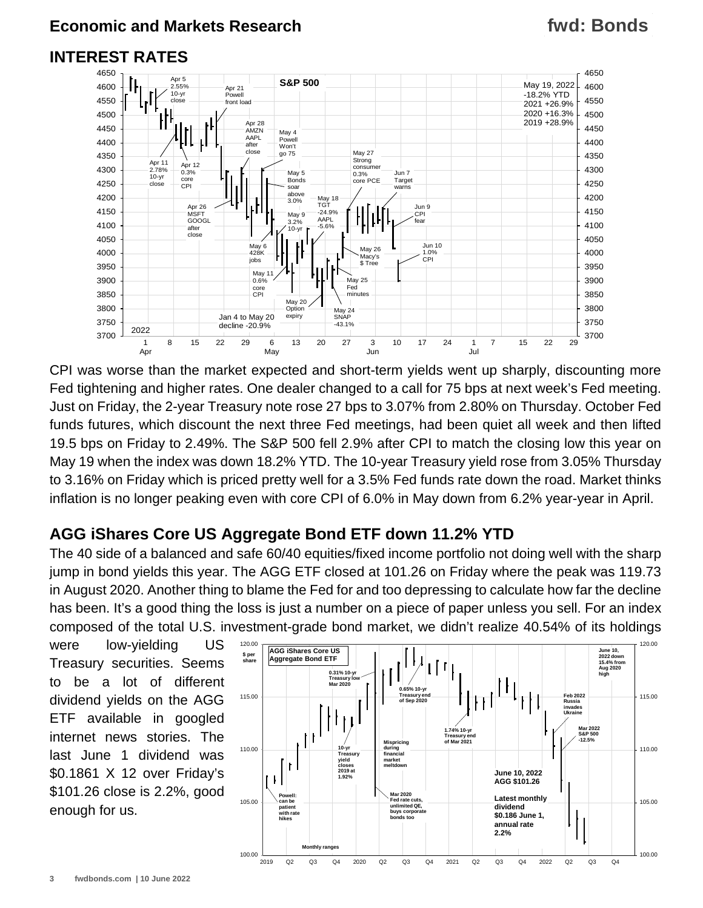## **fwd: Bonds**

## **INTEREST RATES**



CPI was worse than the market expected and short-term yields went up sharply, discounting more Fed tightening and higher rates. One dealer changed to a call for 75 bps at next week's Fed meeting. Just on Friday, the 2-year Treasury note rose 27 bps to 3.07% from 2.80% on Thursday. October Fed funds futures, which discount the next three Fed meetings, had been quiet all week and then lifted 19.5 bps on Friday to 2.49%. The S&P 500 fell 2.9% after CPI to match the closing low this year on May 19 when the index was down 18.2% YTD. The 10-year Treasury yield rose from 3.05% Thursday to 3.16% on Friday which is priced pretty well for a 3.5% Fed funds rate down the road. Market thinks inflation is no longer peaking even with core CPI of 6.0% in May down from 6.2% year-year in April.

## **AGG iShares Core US Aggregate Bond ETF down 11.2% YTD**

The 40 side of a balanced and safe 60/40 equities/fixed income portfolio not doing well with the sharp jump in bond yields this year. The AGG ETF closed at 101.26 on Friday where the peak was 119.73 in August 2020. Another thing to blame the Fed for and too depressing to calculate how far the decline has been. It's a good thing the loss is just a number on a piece of paper unless you sell. For an index composed of the total U.S. investment-grade bond market, we didn't realize 40.54% of its holdings

were low-yielding US Treasury securities. Seems to be a lot of different dividend yields on the AGG ETF available in googled internet news stories. The last June 1 dividend was \$0.1861 X 12 over Friday's \$101.26 close is 2.2%, good enough for us.

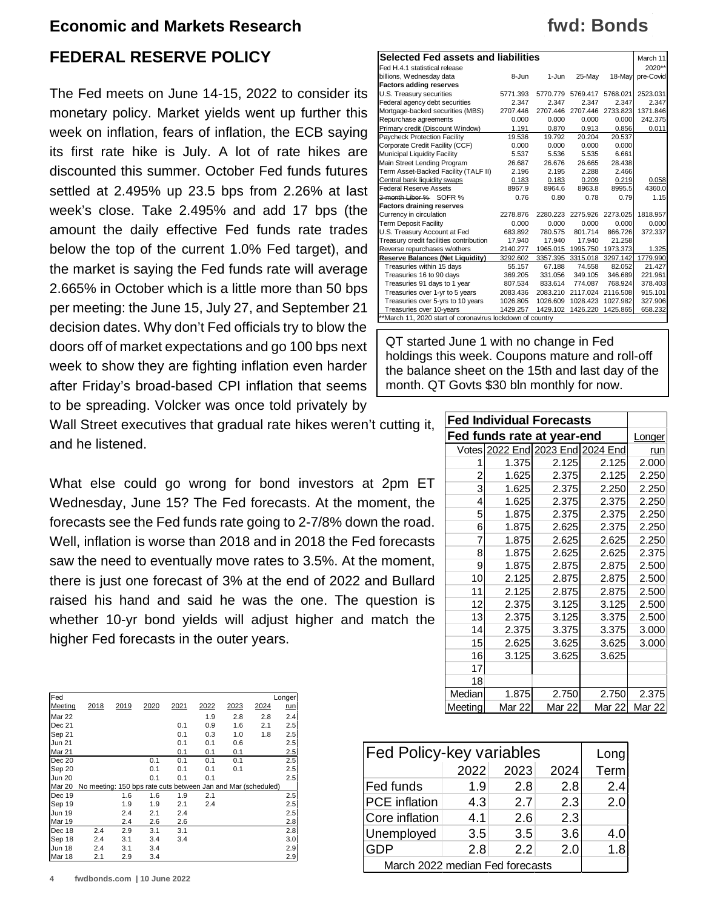### **FEDERAL RESERVE POLICY**

The Fed meets on June 14-15, 2022 to consider its monetary policy. Market yields went up further this week on inflation, fears of inflation, the ECB saying its first rate hike is July. A lot of rate hikes are discounted this summer. October Fed funds futures settled at 2.495% up 23.5 bps from 2.26% at last week's close. Take 2.495% and add 17 bps (the amount the daily effective Fed funds rate trades below the top of the current 1.0% Fed target), and the market is saying the Fed funds rate will average 2.665% in October which is a little more than 50 bps per meeting: the June 15, July 27, and September 21 decision dates. Why don't Fed officials try to blow the doors off of market expectations and go 100 bps next week to show they are fighting inflation even harder after Friday's broad-based CPI inflation that seems to be spreading. Volcker was once told privately by

Wall Street executives that gradual rate hikes weren't cutting it, and he listened.

What else could go wrong for bond investors at 2pm ET Wednesday, June 15? The Fed forecasts. At the moment, the forecasts see the Fed funds rate going to 2-7/8% down the road. Well, inflation is worse than 2018 and in 2018 the Fed forecasts saw the need to eventually move rates to 3.5%. At the moment, there is just one forecast of 3% at the end of 2022 and Bullard raised his hand and said he was the one. The question is whether 10-yr bond yields will adjust higher and match the higher Fed forecasts in the outer years.

| Fed           |                                                               |      |      |      |      |      |      | Longer     |
|---------------|---------------------------------------------------------------|------|------|------|------|------|------|------------|
| Meeting       | 2018                                                          | 2019 | 2020 | 2021 | 2022 | 2023 | 2024 | <u>run</u> |
| Mar 22        |                                                               |      |      |      | 1.9  | 2.8  | 2.8  | 2.4        |
| Dec 21        |                                                               |      |      | 0.1  | 0.9  | 1.6  | 2.1  | 2.5        |
| Sep 21        |                                                               |      |      | 0.1  | 0.3  | 1.0  | 1.8  | 2.5        |
| <b>Jun 21</b> |                                                               |      |      | 0.1  | 0.1  | 0.6  |      | 2.5        |
| Mar 21        |                                                               |      |      | 0.1  | 0.1  | 0.1  |      | 2.5        |
| Dec 20        |                                                               |      | 0.1  | 0.1  | 0.1  | 0.1  |      | 2.5        |
| Sep 20        |                                                               |      | 0.1  | 0.1  | 0.1  | 0.1  |      | 2.5        |
| <b>Jun 20</b> |                                                               |      | 0.1  | 0.1  | 0.1  |      |      | 2.5        |
| <b>Mar 20</b> | No meeting: 150 bps rate cuts between Jan and Mar (scheduled) |      |      |      |      |      |      |            |
| Dec 19        |                                                               | 1.6  | 1.6  | 1.9  | 2.1  |      |      | 2.5        |
| Sep 19        |                                                               | 1.9  | 1.9  | 2.1  | 2.4  |      |      | 2.5        |
| <b>Jun 19</b> |                                                               | 2.4  | 2.1  | 2.4  |      |      |      | 2.5        |
| Mar 19        |                                                               | 2.4  | 2.6  | 2.6  |      |      |      | 2.8        |
| Dec 18        | 2.4                                                           | 2.9  | 3.1  | 3.1  |      |      |      | 2.8        |
| Sep 18        | 2.4                                                           | 3.1  | 3.4  | 3.4  |      |      |      | 3.0        |
| <b>Jun 18</b> | 2.4                                                           | 3.1  | 3.4  |      |      |      |      | 2.9        |
| Mar 18        | 2.1                                                           | 2.9  | 3.4  |      |      |      |      | 2.9        |

| <b>Selected Fed assets and liabilities</b>                |          |          |          |          |           |  |  |
|-----------------------------------------------------------|----------|----------|----------|----------|-----------|--|--|
| Fed H.4.1 statistical release                             |          |          |          |          | 2020**    |  |  |
| billions, Wednesday data                                  | 8-Jun    | 1-Jun    | 25-May   | 18-Mav   | pre-Covid |  |  |
| <b>Factors adding reserves</b>                            |          |          |          |          |           |  |  |
| U.S. Treasury securities                                  | 5771.393 | 5770.779 | 5769.417 | 5768.021 | 2523.031  |  |  |
| Federal agency debt securities                            | 2.347    | 2.347    | 2.347    | 2.347    | 2.347     |  |  |
| Mortgage-backed securities (MBS)                          | 2707.446 | 2707.446 | 2707.446 | 2733.823 | 1371.846  |  |  |
| Repurchase agreements                                     | 0.000    | 0.000    | 0.000    | 0.000    | 242.375   |  |  |
| Primary credit (Discount Window)                          | 1.191    | 0.870    | 0.913    | 0.856    | 0.011     |  |  |
| Paycheck Protection Facility                              | 19.536   | 19.792   | 20.204   | 20.537   |           |  |  |
| Corporate Credit Facility (CCF)                           | 0.000    | 0.000    | 0.000    | 0.000    |           |  |  |
| Municipal Liquidity Facility                              | 5.537    | 5.536    | 5.535    | 6.661    |           |  |  |
| Main Street Lending Program                               | 26.687   | 26.676   | 26.665   | 28.438   |           |  |  |
| Term Asset-Backed Facility (TALF II)                      | 2.196    | 2.195    | 2.288    | 2.466    |           |  |  |
| Central bank liquidity swaps                              | 0.183    | 0.183    | 0.209    | 0.219    | 0.058     |  |  |
| <b>Federal Reserve Assets</b>                             | 8967.9   | 8964.6   | 8963.8   | 8995.5   | 4360.0    |  |  |
| 3-month Libor % SOFR %                                    | 0.76     | 0.80     | 0.78     | 0.79     | 1.15      |  |  |
| <b>Factors draining reserves</b>                          |          |          |          |          |           |  |  |
| Currency in circulation                                   | 2278.876 | 2280.223 | 2275.926 | 2273.025 | 1818.957  |  |  |
| <b>Term Deposit Facility</b>                              | 0.000    | 0.000    | 0.000    | 0.000    | 0.000     |  |  |
| U.S. Treasury Account at Fed                              | 683.892  | 780.575  | 801.714  | 866.726  | 372.337   |  |  |
| Treasury credit facilities contribution                   | 17.940   | 17.940   | 17.940   | 21.258   |           |  |  |
| Reverse repurchases w/others                              | 2140.277 | 1965.015 | 1995.750 | 1973.373 | 1.325     |  |  |
| <b>Reserve Balances (Net Liquidity)</b>                   | 3292.602 | 3357.395 | 3315.018 | 3297.142 | 1779.990  |  |  |
| Treasuries within 15 days                                 | 55.157   | 67.188   | 74.558   | 82.052   | 21.427    |  |  |
| Treasuries 16 to 90 days                                  | 369.205  | 331.056  | 349.105  | 346.689  | 221.961   |  |  |
| Treasuries 91 days to 1 year                              | 807.534  | 833.614  | 774.087  | 768.924  | 378.403   |  |  |
| Treasuries over 1-yr to 5 years                           | 2083.436 | 2083.210 | 2117.024 | 2116.508 | 915.101   |  |  |
| Treasuries over 5-yrs to 10 years                         | 1026.805 | 1026.609 | 1028.423 | 1027.982 | 327.906   |  |  |
| Treasuries over 10-years                                  | 1429.257 | 1429.102 | 1426.220 | 1425.865 | 658.232   |  |  |
| **March 11, 2020 start of coronavirus lockdown of country |          |          |          |          |           |  |  |

QT started June 1 with no change in Fed holdings this week. Coupons mature and roll-off the balance sheet on the 15th and last day of the month. QT Govts \$30 bln monthly for now.

| <b>Fed Individual Forecasts</b> |                                  |               |        |               |
|---------------------------------|----------------------------------|---------------|--------|---------------|
| Fed funds rate at year-end      | Longer                           |               |        |               |
|                                 | Votes 2022 End 2023 End 2024 End |               |        | run           |
| 1                               | 1.375                            | 2.125         | 2.125  | 2.000         |
| 2                               | 1.625                            | 2.375         | 2.125  | 2.250         |
| 3                               | 1.625                            | 2.375         | 2.250  | 2.250         |
| 4                               | 1.625                            | 2.375         | 2.375  | 2.250         |
| 5                               | 1.875                            | 2.375         | 2.375  | 2.250         |
| 6                               | 1.875                            | 2.625         | 2.375  | 2.250         |
| 7                               | 1.875                            | 2.625         | 2.625  | 2.250         |
| 8                               | 1.875                            | 2.625         | 2.625  | 2.375         |
| 9                               | 1.875                            | 2.875         | 2.875  | 2.500         |
| 10                              | 2.125                            | 2.875         | 2.875  | 2.500         |
| 11                              | 2.125                            | 2.875         | 2.875  | 2.500         |
| 12                              | 2.375                            | 3.125         | 3.125  | 2.500         |
| 13                              | 2.375                            | 3.125         | 3.375  | 2.500         |
| 14                              | 2.375                            | 3.375         | 3.375  | 3.000         |
| 15                              | 2.625                            | 3.625         | 3.625  | 3.000         |
| 16                              | 3.125                            | 3.625         | 3.625  |               |
| 17                              |                                  |               |        |               |
| 18                              |                                  |               |        |               |
| Median                          | 1.875                            | 2.750         | 2.750  | 2.375         |
| Meeting                         | <b>Mar 22</b>                    | <b>Mar 22</b> | Mar 22 | <b>Mar 22</b> |

| Fed Policy-key variables        | Long |      |      |      |
|---------------------------------|------|------|------|------|
|                                 | 2022 | 2023 | 2024 | Term |
| Fed funds                       | 1.9  | 2.8  | 2.8  | 2.4  |
| <b>PCE</b> inflation            | 4.3  | 2.7  | 2.3  | 2.0  |
| Core inflation                  | 4.1  | 2.6  | 2.3  |      |
| Unemployed                      | 3.5  | 3.5  | 3.6  | 4.0  |
| <b>GDP</b>                      | 2.8  | 2.2  | 2.0  | 1.8  |
| March 2022 median Fed forecasts |      |      |      |      |

## **fwd: Bonds**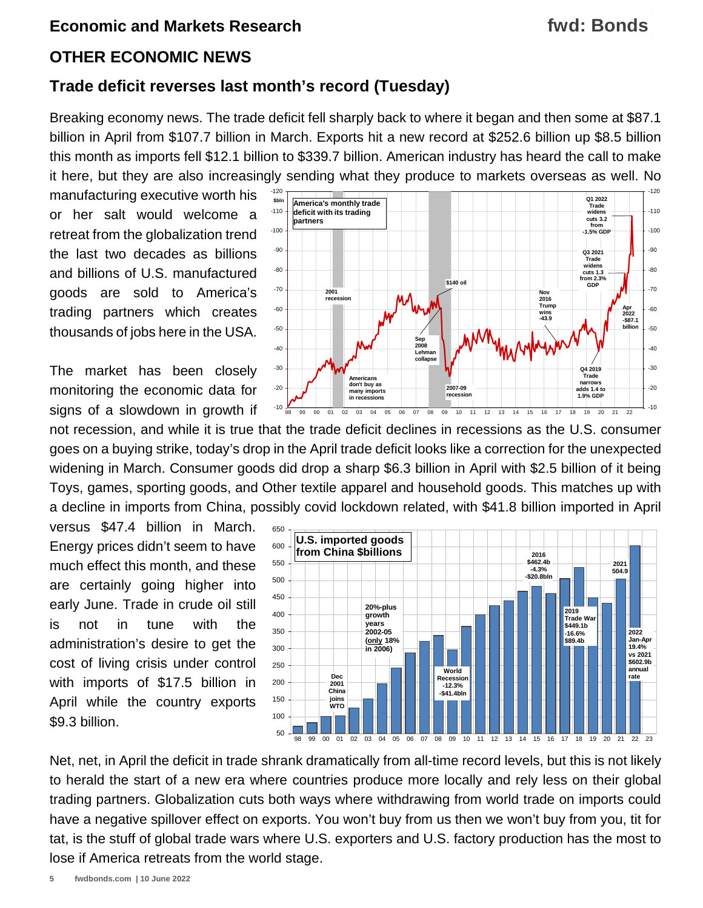## **fwd: Bonds**

#### **OTHER ECONOMIC NEWS**

#### **Trade deficit reverses last month's record (Tuesday)**

Breaking economy news. The trade deficit fell sharply back to where it began and then some at \$87.1 billion in April from \$107.7 billion in March. Exports hit a new record at \$252.6 billion up \$8.5 billion this month as imports fell \$12.1 billion to \$339.7 billion. American industry has heard the call to make it here, but they are also increasingly sending what they produce to markets overseas as well. No

manufacturing executive worth his or her salt would welcome a retreat from the globalization trend the last two decades as billions and billions of U.S. manufactured goods are sold to America's trading partners which creates thousands of jobs here in the USA.

The market has been closely monitoring the economic data for signs of a slowdown in growth if

not recession, and while it is true that the trade deficit declines in recessions as the U.S. consumer goes on a buying strike, today's drop in the April trade deficit looks like a correction for the unexpected widening in March. Consumer goods did drop a sharp \$6.3 billion in April with \$2.5 billion of it being Toys, games, sporting goods, and Other textile apparel and household goods. This matches up with a decline in imports from China, possibly covid lockdown related, with \$41.8 billion imported in April

versus \$47.4 billion in March. Energy prices didn't seem to have much effect this month, and these are certainly going higher into early June. Trade in crude oil still is not in tune with the administration's desire to get the cost of living crisis under control with imports of \$17.5 billion in April while the country exports \$9.3 billion.



50 100 150 200 250 300 350 400 450 500 550 600 650 98 99 00 01 02 03 04 05 06 07 08 09 10 11 12 13 14 15 16 17 18 19 20 21 22 23 **U.S. imported goods from China \$billions** | | | | | | | | <sub>2016</sub> **\$462.4b -4.3% -\$20.8bln World Recession -12.3% -\$41.4bln 20%-plus growth years 2002-05 (only 18% in 2006) 2019 Trade War \$449.1b -16.6% \$89.4b Dec 2001 China joins WTO 2021 504.9 2022 Jan-Apr 19.4% vs 2021 \$602.9b annual rate**

Net, net, in April the deficit in trade shrank dramatically from all-time record levels, but this is not likely to herald the start of a new era where countries produce more locally and rely less on their global trading partners. Globalization cuts both ways where withdrawing from world trade on imports could have a negative spillover effect on exports. You won't buy from us then we won't buy from you, tit for tat, is the stuff of global trade wars where U.S. exporters and U.S. factory production has the most to lose if America retreats from the world stage.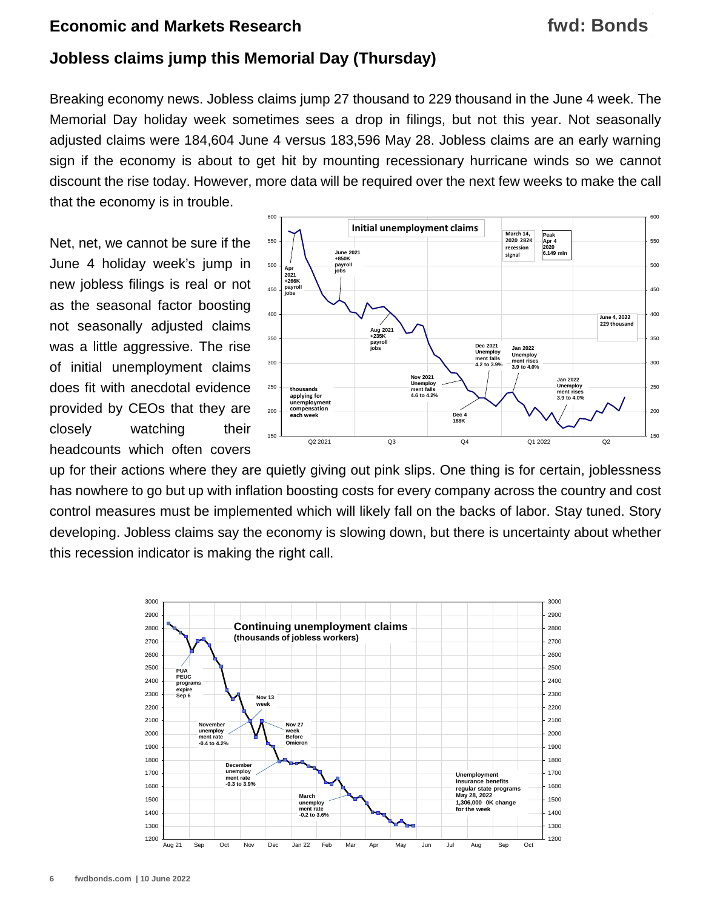## **fwd: Bonds**

#### **Jobless claims jump this Memorial Day (Thursday)**

Breaking economy news. Jobless claims jump 27 thousand to 229 thousand in the June 4 week. The Memorial Day holiday week sometimes sees a drop in filings, but not this year. Not seasonally adjusted claims were 184,604 June 4 versus 183,596 May 28. Jobless claims are an early warning sign if the economy is about to get hit by mounting recessionary hurricane winds so we cannot discount the rise today. However, more data will be required over the next few weeks to make the call that the economy is in trouble.

Net, net, we cannot be sure if the June 4 holiday week's jump in new jobless filings is real or not as the seasonal factor boosting not seasonally adjusted claims was a little aggressive. The rise of initial unemployment claims does fit with anecdotal evidence provided by CEOs that they are closely watching their headcounts which often covers



up for their actions where they are quietly giving out pink slips. One thing is for certain, joblessness has nowhere to go but up with inflation boosting costs for every company across the country and cost control measures must be implemented which will likely fall on the backs of labor. Stay tuned. Story developing. Jobless claims say the economy is slowing down, but there is uncertainty about whether this recession indicator is making the right call.

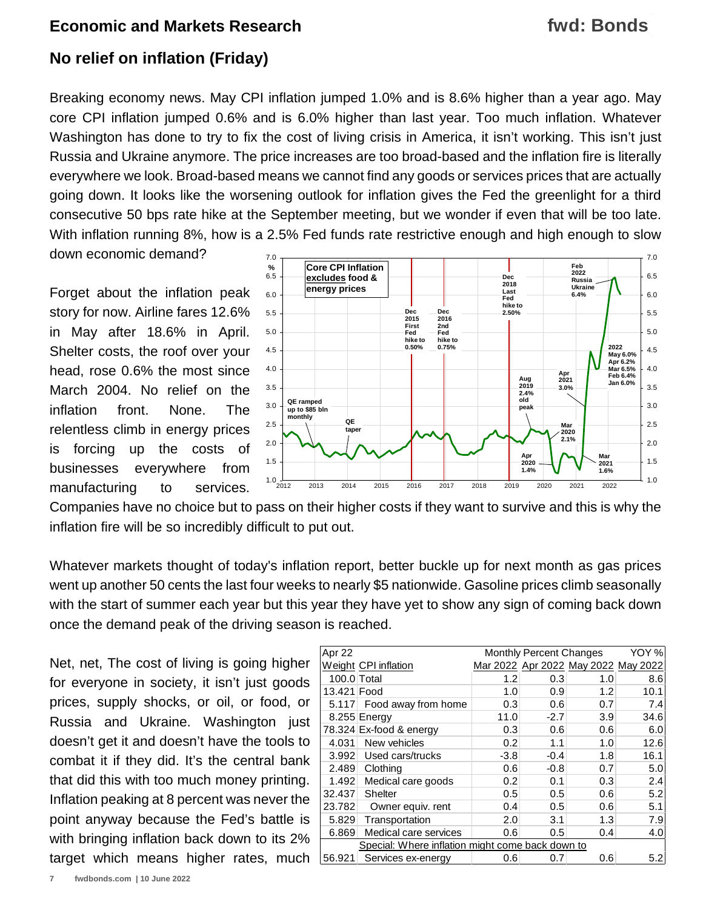## **fwd: Bonds**

## **No relief on inflation (Friday)**

Breaking economy news. May CPI inflation jumped 1.0% and is 8.6% higher than a year ago. May core CPI inflation jumped 0.6% and is 6.0% higher than last year. Too much inflation. Whatever Washington has done to try to fix the cost of living crisis in America, it isn't working. This isn't just Russia and Ukraine anymore. The price increases are too broad-based and the inflation fire is literally everywhere we look. Broad-based means we cannot find any goods or services prices that are actually going down. It looks like the worsening outlook for inflation gives the Fed the greenlight for a third consecutive 50 bps rate hike at the September meeting, but we wonder if even that will be too late. With inflation running 8%, how is a 2.5% Fed funds rate restrictive enough and high enough to slow down economic demand?

Forget about the inflation peak story for now. Airline fares 12.6% in May after 18.6% in April. Shelter costs, the roof over your head, rose 0.6% the most since March 2004. No relief on the inflation front. None. The relentless climb in energy prices is forcing up the costs of businesses everywhere from manufacturing to services.



Companies have no choice but to pass on their higher costs if they want to survive and this is why the inflation fire will be so incredibly difficult to put out.

Whatever markets thought of today's inflation report, better buckle up for next month as gas prices went up another 50 cents the last four weeks to nearly \$5 nationwide. Gasoline prices climb seasonally with the start of summer each year but this year they have yet to show any sign of coming back down once the demand peak of the driving season is reached.

Net, net, The cost of living is going higher for everyone in society, it isn't just goods prices, supply shocks, or oil, or food, or Russia and Ukraine. Washington just doesn't get it and doesn't have the tools to combat it if they did. It's the central bank that did this with too much money printing. Inflation peaking at 8 percent was never the point anyway because the Fed's battle is with bringing inflation back down to its 2% target which means higher rates, much

| Apr 22                                           |                         |        | <b>Monthly Percent Changes</b> |                                     | YOY % |  |
|--------------------------------------------------|-------------------------|--------|--------------------------------|-------------------------------------|-------|--|
|                                                  | Weight CPI inflation    |        |                                | Mar 2022 Apr 2022 May 2022 May 2022 |       |  |
| 100.0 Total                                      |                         | 1.2    | 0.3                            | 1.0                                 | 8.6   |  |
| 13.421 Food                                      |                         | 1.0    | 0.9                            | 1.2                                 | 10.1  |  |
| 5.117                                            | Food away from home     | 0.3    | 0.6                            | 0.7                                 | 7.4   |  |
|                                                  | 8.255 Energy            | 11.0   | $-2.7$                         | 3.9                                 | 34.6  |  |
|                                                  | 78.324 Ex-food & energy | 0.3    | 0.6                            | 0.6                                 | 6.0   |  |
| 4.031                                            | New vehicles            | 0.2    | 1.1                            | 1.0                                 | 12.6  |  |
| 3.992                                            | Used cars/trucks        | $-3.8$ | $-0.4$                         | 1.8                                 | 16.1  |  |
| 2.489                                            | Clothing                | 0.6    | $-0.8$                         | 0.7                                 | 5.0   |  |
| 1.492                                            | Medical care goods      | 0.2    | 0.1                            | 0.3                                 | 2.4   |  |
| 32.437                                           | Shelter                 | 0.5    | 0.5                            | 0.6                                 | 5.2   |  |
| 23.782                                           | Owner equiv. rent       | 0.4    | 0.5                            | 0.6                                 | 5.1   |  |
| 5.829                                            | Transportation          | 2.0    | 3.1                            | 1.3                                 | 7.9   |  |
| 6.869                                            | Medical care services   | 0.6    | 0.5                            | 0.4                                 | 4.0   |  |
| Special: Where inflation might come back down to |                         |        |                                |                                     |       |  |
| 56.921                                           | Services ex-energy      | 0.6    | 0.7                            | 0.6                                 | 5.2   |  |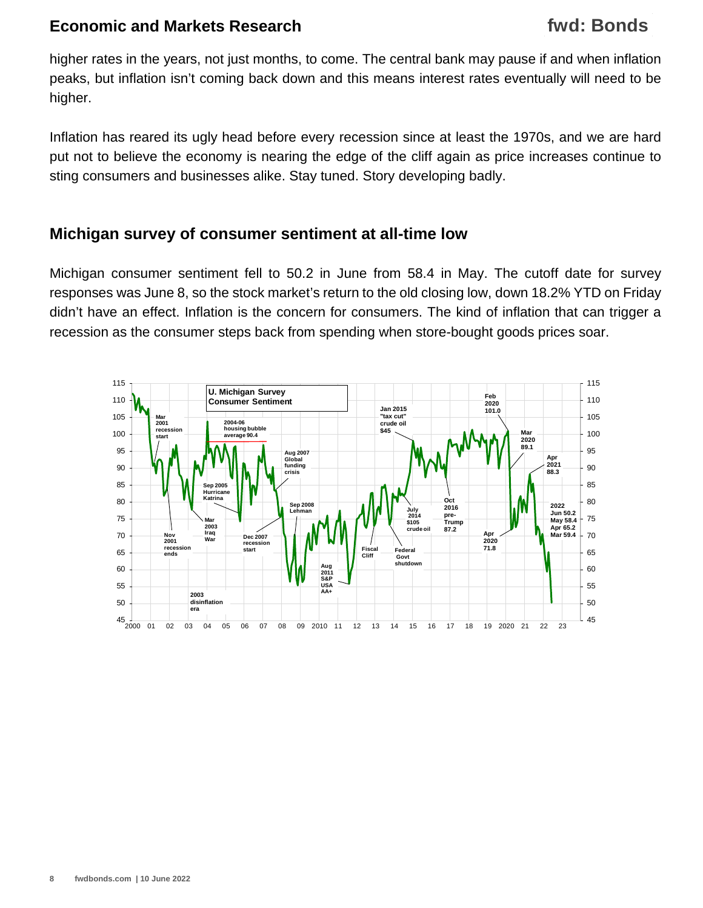higher rates in the years, not just months, to come. The central bank may pause if and when inflation peaks, but inflation isn't coming back down and this means interest rates eventually will need to be higher.

Inflation has reared its ugly head before every recession since at least the 1970s, and we are hard put not to believe the economy is nearing the edge of the cliff again as price increases continue to sting consumers and businesses alike. Stay tuned. Story developing badly.

#### **Michigan survey of consumer sentiment at all-time low**

Michigan consumer sentiment fell to 50.2 in June from 58.4 in May. The cutoff date for survey responses was June 8, so the stock market's return to the old closing low, down 18.2% YTD on Friday didn't have an effect. Inflation is the concern for consumers. The kind of inflation that can trigger a recession as the consumer steps back from spending when store-bought goods prices soar.